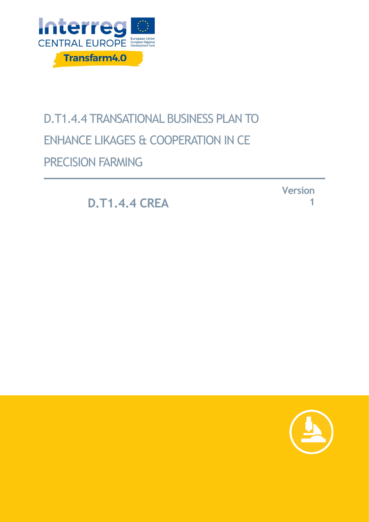

# D.T1.4.4 TRANSATIONAL BUSINESS PLAN TO ENHANCE LIKAGES & COOPERATION IN CE PRECISION FARMING

**D.T1.4.4 CREA**

**Version 1**

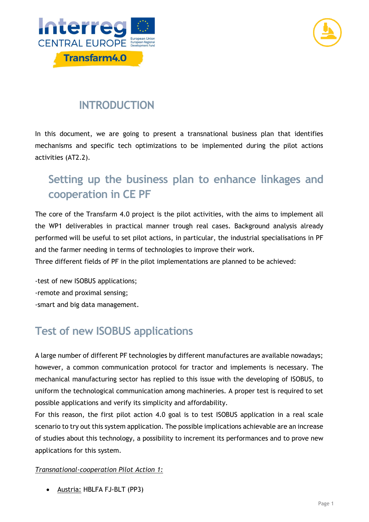



## **INTRODUCTION**

In this document, we are going to present a transnational business plan that identifies mechanisms and specific tech optimizations to be implemented during the pilot actions activities (AT2.2).

# **Setting up the business plan to enhance linkages and cooperation in CE PF**

The core of the Transfarm 4.0 project is the pilot activities, with the aims to implement all the WP1 deliverables in practical manner trough real cases. Background analysis already performed will be useful to set pilot actions, in particular, the industrial specialisations in PF and the farmer needing in terms of technologies to improve their work.

Three different fields of PF in the pilot implementations are planned to be achieved:

-test of new ISOBUS applications; -remote and proximal sensing; -smart and big data management.

# **Test of new ISOBUS applications**

A large number of different PF technologies by different manufactures are available nowadays; however, a common communication protocol for tractor and implements is necessary. The mechanical manufacturing sector has replied to this issue with the developing of ISOBUS, to uniform the technological communication among machineries. A proper test is required to set possible applications and verify its simplicity and affordability.

For this reason, the first pilot action 4.0 goal is to test ISOBUS application in a real scale scenario to try out this system application. The possible implications achievable are an increase of studies about this technology, a possibility to increment its performances and to prove new applications for this system.

### *Transnational-cooperation Pilot Action 1:*

• Austria: HBLFA FJ-BLT (PP3)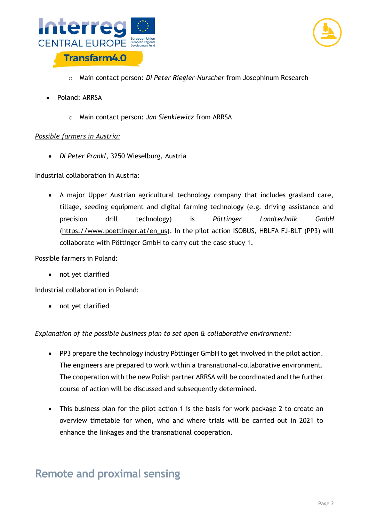



- o Main contact person: *DI Peter Riegler-Nurscher* from Josephinum Research
- Poland: ARRSA
	- o Main contact person: *Jan Sienkiewicz* from ARRSA

### *Possible farmers in Austria:*

• *DI Peter Prankl*, 3250 Wieselburg, Austria

### Industrial collaboration in Austria:

• A major Upper Austrian agricultural technology company that includes grasland care, tillage, seeding equipment and digital farming technology (e.g. driving assistance and precision drill technology) is *Pöttinger Landtechnik GmbH* [\(https://www.poettinger.at/en\\_us\)](https://www.poettinger.at/en_us). In the pilot action ISOBUS, HBLFA FJ-BLT (PP3) will collaborate with Pöttinger GmbH to carry out the case study 1.

Possible farmers in Poland:

• not yet clarified

Industrial collaboration in Poland:

• not yet clarified

### *Explanation of the possible business plan to set open & collaborative environment:*

- PP3 prepare the technology industry Pöttinger GmbH to get involved in the pilot action. The engineers are prepared to work within a transnational-collaborative environment. The cooperation with the new Polish partner ARRSA will be coordinated and the further course of action will be discussed and subsequently determined.
- This business plan for the pilot action 1 is the basis for work package 2 to create an overview timetable for when, who and where trials will be carried out in 2021 to enhance the linkages and the transnational cooperation.

### **Remote and proximal sensing**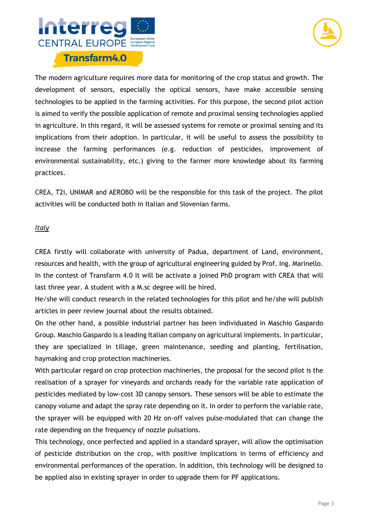



The modern agriculture requires more data for monitoring of the crop status and growth. The development of sensors, especially the optical sensors, have make accessible sensing technologies to be applied in the farming activities. For this purpose, the second pilot action is aimed to verify the possible application of remote and proximal sensing technologies applied in agriculture. In this regard, it will be assessed systems for remote or proximal sensing and its implications from their adoption. In particular, it will be useful to assess the possibility to increase the farming performances (e.g. reduction of pesticides, improvement of environmental sustainability, etc.) giving to the farmer more knowledge about its farming practices.

CREA, T2i, UNIMAR and AEROBO will be the responsible for this task of the project. The pilot activities will be conducted both in Italian and Slovenian farms.

### *Italy*

CREA firstly will collaborate with university of Padua, department of Land, environment, resources and health, with the group of agricultural engineering guided by Prof. Ing. Marinello. In the contest of Transfarm 4.0 It will be activate a joined PhD program with CREA that will last three year. A student with a M.sc degree will be hired.

He/she will conduct research in the related technologies for this pilot and he/she will publish articles in peer review journal about the results obtained.

On the other hand, a possible industrial partner has been individuated in Maschio Gaspardo Group. Maschio Gaspardo is a leading Italian company on agricultural implements. In particular, they are specialized in tillage, green maintenance, seeding and planting, fertilisation, haymaking and crop protection machineries.

With particular regard on crop protection machineries, the proposal for the second pilot is the realisation of a sprayer for vineyards and orchards ready for the variable rate application of pesticides mediated by low-cost 3D canopy sensors. These sensors will be able to estimate the canopy volume and adapt the spray rate depending on it. In order to perform the variable rate, the sprayer will be equipped with 20 Hz on-off valves pulse-modulated that can change the rate depending on the frequency of nozzle pulsations.

This technology, once perfected and applied in a standard sprayer, will allow the optimisation of pesticide distribution on the crop, with positive implications in terms of efficiency and environmental performances of the operation. In addition, this technology will be designed to be applied also in existing sprayer in order to upgrade them for PF applications.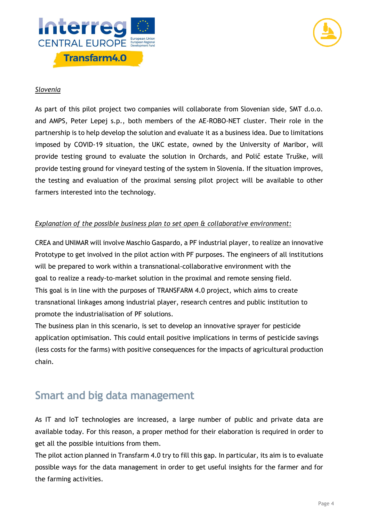



### *Slovenia*

As part of this pilot project two companies will collaborate from Slovenian side, SMT d.o.o. and AMPS, Peter Lepej s.p., both members of the AE-ROBO-NET cluster. Their role in the partnership is to help develop the solution and evaluate it as a business idea. Due to limitations imposed by COVID-19 situation, the UKC estate, owned by the University of Maribor, will provide testing ground to evaluate the solution in Orchards, and Polič estate Truške, will provide testing ground for vineyard testing of the system in Slovenia. If the situation improves, the testing and evaluation of the proximal sensing pilot project will be available to other farmers interested into the technology.

### *Explanation of the possible business plan to set open & collaborative environment:*

CREA and UNIMAR will involve Maschio Gaspardo, a PF industrial player, to realize an innovative Prototype to get involved in the pilot action with PF purposes. The engineers of all institutions will be prepared to work within a transnational-collaborative environment with the goal to realize a ready-to-market solution in the proximal and remote sensing field. This goal is in line with the purposes of TRANSFARM 4.0 project, which aims to create transnational linkages among industrial player, research centres and public institution to promote the industrialisation of PF solutions.

The business plan in this scenario, is set to develop an innovative sprayer for pesticide application optimisation. This could entail positive implications in terms of pesticide savings (less costs for the farms) with positive consequences for the impacts of agricultural production chain.

### **Smart and big data management**

As IT and IoT technologies are increased, a large number of public and private data are available today. For this reason, a proper method for their elaboration is required in order to get all the possible intuitions from them.

The pilot action planned in Transfarm 4.0 try to fill this gap. In particular, its aim is to evaluate possible ways for the data management in order to get useful insights for the farmer and for the farming activities.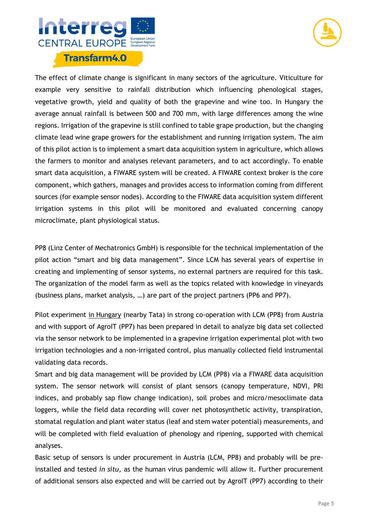



The effect of climate change is significant in many sectors of the agriculture. Viticulture for example very sensitive to rainfall distribution which influencing phenological stages, vegetative growth, yield and quality of both the grapevine and wine too. In Hungary the average annual rainfall is between 500 and 700 mm, with large differences among the wine regions. Irrigation of the grapevine is still confined to table grape production, but the changing climate lead wine grape growers for the establishment and running irrigation system. The aim of this pilot action is to implement a smart data acquisition system in agriculture, which allows the farmers to monitor and analyses relevant parameters, and to act accordingly. To enable smart data acquisition, a FIWARE system will be created. A FIWARE context broker is the core component, which gathers, manages and provides access to information coming from different sources (for example sensor nodes). According to the FIWARE data acquisition system different irrigation systems in this pilot will be monitored and evaluated concerning canopy microclimate, plant physiological status.

PP8 (Linz Center of Mechatronics GmbH) is responsible for the technical implementation of the pilot action "smart and big data management". Since LCM has several years of expertise in creating and implementing of sensor systems, no external partners are required for this task. The organization of the model farm as well as the topics related with knowledge in vineyards (business plans, market analysis, …) are part of the project partners (PP6 and PP7).

Pilot experiment in Hungary (nearby Tata) in strong co-operation with LCM (PP8) from Austria and with support of AgroIT (PP7) has been prepared in detail to analyze big data set collected via the sensor network to be implemented in a grapevine irrigation experimental plot with two irrigation technologies and a non-irrigated control, plus manually collected field instrumental validating data records.

Smart and big data management will be provided by LCM (PP8) via a FIWARE data acquisition system. The sensor network will consist of plant sensors (canopy temperature, NDVI, PRI indices, and probably sap flow change indication), soil probes and micro/mesoclimate data loggers, while the field data recording will cover net photosynthetic activity, transpiration, stomatal regulation and plant water status (leaf and stem water potential) measurements, and will be completed with field evaluation of phenology and ripening, supported with chemical analyses.

Basic setup of sensors is under procurement in Austria (LCM, PP8) and probably will be preinstalled and tested *in situ,* as the human virus pandemic will allow it. Further procurement of additional sensors also expected and will be carried out by AgroIT (PP7) according to their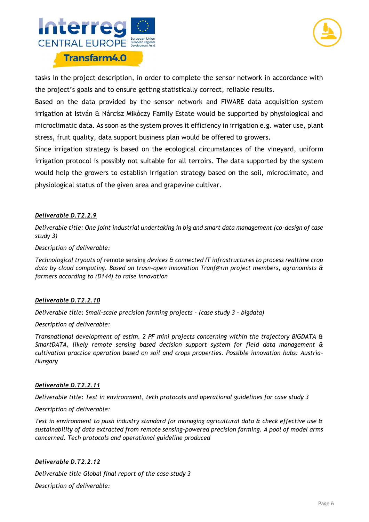



tasks in the project description, in order to complete the sensor network in accordance with the project's goals and to ensure getting statistically correct, reliable results.

Based on the data provided by the sensor network and FIWARE data acquisition system irrigation at István & Nárcisz Mikóczy Family Estate would be supported by physiological and microclimatic data. As soon as the system proves it efficiency in irrigation e.g. water use, plant stress, fruit quality, data support business plan would be offered to growers.

Since irrigation strategy is based on the ecological circumstances of the vineyard, uniform irrigation protocol is possibly not suitable for all terroirs. The data supported by the system would help the growers to establish irrigation strategy based on the soil, microclimate, and physiological status of the given area and grapevine cultivar.

### *Deliverable D.T2.2.9*

*Deliverable title: One joint industrial undertaking in big and smart data management (co-design of case study 3)*

### *Description of deliverable:*

*Technological tryouts of* remote sensing *devices & connected IT infrastructures to process realtime crop data by cloud computing. Based on trasn-open innovation Tranf@rm project members, agronomists & farmers according to (D144) to raise innovation*

### *Deliverable D.T2.2.10*

*Deliverable title: Small-scale precision farming projects – (case study 3 – bigdata)*

### *Description of deliverable:*

*Transnational development of estim. 2 PF mini projects concerning within the trajectory BIGDATA & SmartDATA, likely remote sensing based decision support system for field data management & cultivation practice operation based on soil and crops properties. Possible innovation hubs: Austria-Hungary* 

### *Deliverable D.T2.2.11*

*Deliverable title: Test in environment, tech protocols and operational guidelines for case study 3* 

### *Description of deliverable:*

*Test in environment to push industry standard for managing agricultural data & check effective use & sustainability of data extracted from remote sensing-powered precision farming. A pool of model arms concerned. Tech protocols and operational guideline produced*

### *Deliverable D.T2.2.12*

*Deliverable title Global final report of the case study 3*

*Description of deliverable:*